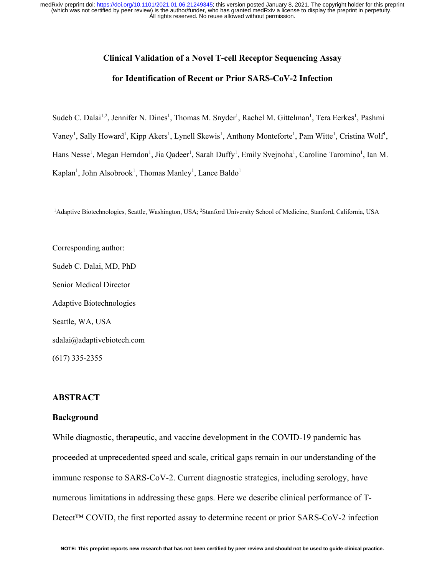# **Clinical Validation of a Novel T-cell Receptor Sequencing Assay**

## **for Identification of Recent or Prior SARS-CoV-2 Infection**

Sudeb C. Dalai<sup>1,2</sup>, Jennifer N. Dines<sup>1</sup>, Thomas M. Snyder<sup>1</sup>, Rachel M. Gittelman<sup>1</sup>, Tera Eerkes<sup>1</sup>, Pashmi Vaney<sup>1</sup>, Sally Howard<sup>1</sup>, Kipp Akers<sup>1</sup>, Lynell Skewis<sup>1</sup>, Anthony Monteforte<sup>1</sup>, Pam Witte<sup>1</sup>, Cristina Wolf<sup>1</sup>, Hans Nesse<sup>1</sup>, Megan Herndon<sup>1</sup>, Jia Qadeer<sup>1</sup>, Sarah Duffy<sup>1</sup>, Emily Svejnoha<sup>1</sup>, Caroline Taromino<sup>1</sup>, Ian M. Kaplan<sup>1</sup>, John Alsobrook<sup>1</sup>, Thomas Manley<sup>1</sup>, Lance Baldo<sup>1</sup>

<sup>1</sup>Adaptive Biotechnologies, Seattle, Washington, USA; <sup>2</sup>Stanford University School of Medicine, Stanford, California, USA

Corresponding author: Sudeb C. Dalai, MD, PhD Senior Medical Director Adaptive Biotechnologies Seattle, WA, USA sdalai@adaptivebiotech.com (617) 335-2355

# **ABSTRACT**

#### **Background**

While diagnostic, therapeutic, and vaccine development in the COVID-19 pandemic has proceeded at unprecedented speed and scale, critical gaps remain in our understanding of the immune response to SARS-CoV-2. Current diagnostic strategies, including serology, have numerous limitations in addressing these gaps. Here we describe clinical performance of T-Detect<sup>™</sup> COVID, the first reported assay to determine recent or prior SARS-CoV-2 infection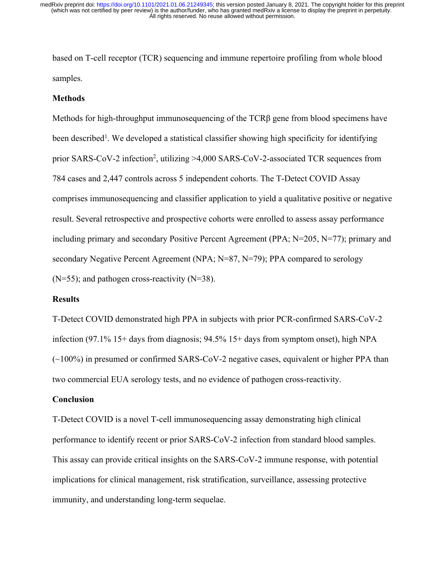based on T-cell receptor (TCR) sequencing and immune repertoire profiling from whole blood samples.

#### **Methods**

Methods for high-throughput immunosequencing of the TCRβ gene from blood specimens have been described<sup>1</sup>. We developed a statistical classifier showing high specificity for identifying prior SARS-CoV-2 infection<sup>2</sup>, utilizing >4,000 SARS-CoV-2-associated TCR sequences from 784 cases and 2,447 controls across 5 independent cohorts. The T-Detect COVID Assay comprises immunosequencing and classifier application to yield a qualitative positive or negative result. Several retrospective and prospective cohorts were enrolled to assess assay performance including primary and secondary Positive Percent Agreement (PPA; N=205, N=77); primary and secondary Negative Percent Agreement (NPA; N=87, N=79); PPA compared to serology  $(N=55)$ ; and pathogen cross-reactivity  $(N=38)$ .

### **Results**

T-Detect COVID demonstrated high PPA in subjects with prior PCR-confirmed SARS-CoV-2 infection (97.1% 15+ days from diagnosis; 94.5% 15+ days from symptom onset), high NPA (~100%) in presumed or confirmed SARS-CoV-2 negative cases, equivalent or higher PPA than two commercial EUA serology tests, and no evidence of pathogen cross-reactivity.

### **Conclusion**

T-Detect COVID is a novel T-cell immunosequencing assay demonstrating high clinical performance to identify recent or prior SARS-CoV-2 infection from standard blood samples. This assay can provide critical insights on the SARS-CoV-2 immune response, with potential implications for clinical management, risk stratification, surveillance, assessing protective immunity, and understanding long-term sequelae.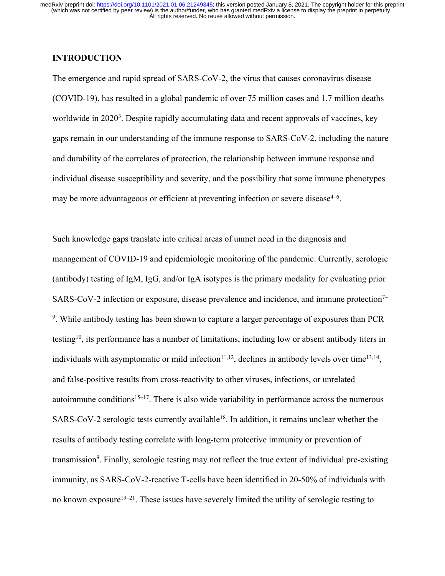# **INTRODUCTION**

The emergence and rapid spread of SARS-CoV-2, the virus that causes coronavirus disease (COVID-19), has resulted in a global pandemic of over 75 million cases and 1.7 million deaths worldwide in 2020<sup>3</sup>. Despite rapidly accumulating data and recent approvals of vaccines, key gaps remain in our understanding of the immune response to SARS-CoV-2, including the nature and durability of the correlates of protection, the relationship between immune response and individual disease susceptibility and severity, and the possibility that some immune phenotypes may be more advantageous or efficient at preventing infection or severe disease<sup>4-6</sup>.

Such knowledge gaps translate into critical areas of unmet need in the diagnosis and management of COVID-19 and epidemiologic monitoring of the pandemic. Currently, serologic (antibody) testing of IgM, IgG, and/or IgA isotypes is the primary modality for evaluating prior SARS-CoV-2 infection or exposure, disease prevalence and incidence, and immune protection<sup>7–</sup> <sup>9</sup>. While antibody testing has been shown to capture a larger percentage of exposures than PCR testing<sup>10</sup>, its performance has a number of limitations, including low or absent antibody titers in individuals with asymptomatic or mild infection $11,12$ , declines in antibody levels over time<sup>13,14</sup>, and false-positive results from cross-reactivity to other viruses, infections, or unrelated autoimmune conditions<sup>15–17</sup>. There is also wide variability in performance across the numerous SARS-CoV-2 serologic tests currently available<sup>18</sup>. In addition, it remains unclear whether the results of antibody testing correlate with long-term protective immunity or prevention of transmission<sup>9</sup>. Finally, serologic testing may not reflect the true extent of individual pre-existing immunity, as SARS-CoV-2-reactive T-cells have been identified in 20-50% of individuals with no known exposure<sup>19–21</sup>. These issues have severely limited the utility of serologic testing to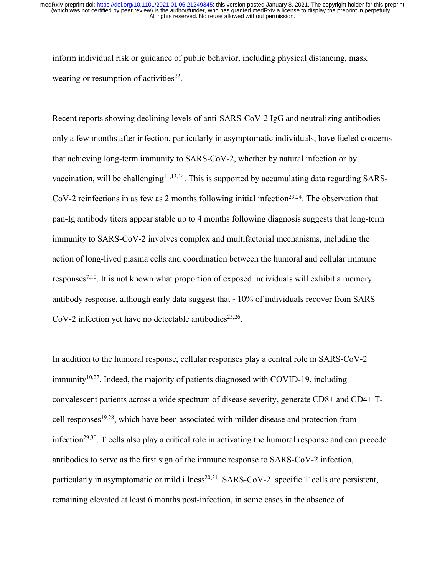inform individual risk or guidance of public behavior, including physical distancing, mask wearing or resumption of activities $22$ .

Recent reports showing declining levels of anti-SARS-CoV-2 IgG and neutralizing antibodies only a few months after infection, particularly in asymptomatic individuals, have fueled concerns that achieving long-term immunity to SARS-CoV-2, whether by natural infection or by vaccination, will be challenging<sup>11,13,14</sup>. This is supported by accumulating data regarding SARS-CoV-2 reinfections in as few as 2 months following initial infection<sup>23,24</sup>. The observation that pan-Ig antibody titers appear stable up to 4 months following diagnosis suggests that long-term immunity to SARS-CoV-2 involves complex and multifactorial mechanisms, including the action of long-lived plasma cells and coordination between the humoral and cellular immune responses<sup>7,10</sup>. It is not known what proportion of exposed individuals will exhibit a memory antibody response, although early data suggest that  $\sim$ 10% of individuals recover from SARS-CoV-2 infection yet have no detectable antibodies<sup>25,26</sup>.

In addition to the humoral response, cellular responses play a central role in SARS-CoV-2  $\text{immunity}^{10,27}$ . Indeed, the majority of patients diagnosed with COVID-19, including convalescent patients across a wide spectrum of disease severity, generate CD8+ and CD4+ Tcell responses19,28, which have been associated with milder disease and protection from infection<sup>29,30</sup>. T cells also play a critical role in activating the humoral response and can precede antibodies to serve as the first sign of the immune response to SARS-CoV-2 infection, particularly in asymptomatic or mild illness<sup>20,31</sup>. SARS-CoV-2–specific T cells are persistent, remaining elevated at least 6 months post-infection, in some cases in the absence of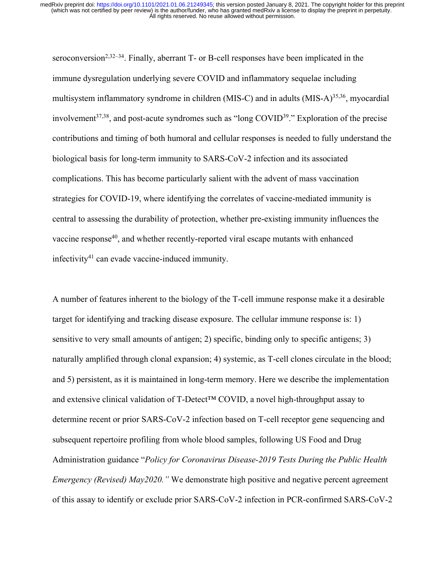seroconversion<sup>2,32–34</sup>. Finally, aberrant  $T$ - or B-cell responses have been implicated in the immune dysregulation underlying severe COVID and inflammatory sequelae including multisystem inflammatory syndrome in children (MIS-C) and in adults (MIS-A) $^{35,36}$ , myocardial involvement<sup>37,38</sup>, and post-acute syndromes such as "long COVID<sup>39</sup>." Exploration of the precise contributions and timing of both humoral and cellular responses is needed to fully understand the biological basis for long-term immunity to SARS-CoV-2 infection and its associated complications. This has become particularly salient with the advent of mass vaccination strategies for COVID-19, where identifying the correlates of vaccine-mediated immunity is central to assessing the durability of protection, whether pre-existing immunity influences the vaccine response<sup>40</sup>, and whether recently-reported viral escape mutants with enhanced infectivity41 can evade vaccine-induced immunity.

A number of features inherent to the biology of the T-cell immune response make it a desirable target for identifying and tracking disease exposure. The cellular immune response is: 1) sensitive to very small amounts of antigen; 2) specific, binding only to specific antigens; 3) naturally amplified through clonal expansion; 4) systemic, as T-cell clones circulate in the blood; and 5) persistent, as it is maintained in long-term memory. Here we describe the implementation and extensive clinical validation of T-Detect™ COVID, a novel high-throughput assay to determine recent or prior SARS-CoV-2 infection based on T-cell receptor gene sequencing and subsequent repertoire profiling from whole blood samples, following US Food and Drug Administration guidance "*Policy for Coronavirus Disease-2019 Tests During the Public Health Emergency (Revised) May2020."* We demonstrate high positive and negative percent agreement of this assay to identify or exclude prior SARS-CoV-2 infection in PCR-confirmed SARS-CoV-2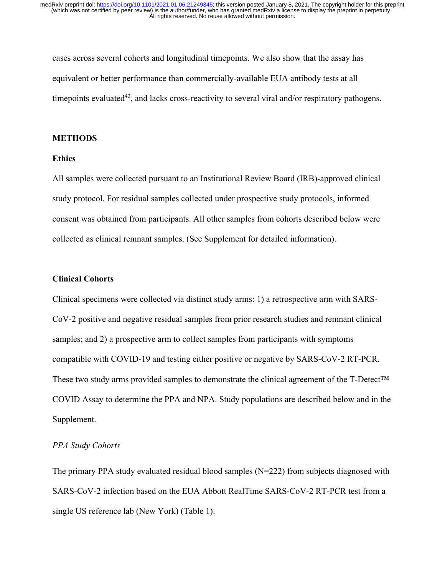cases across several cohorts and longitudinal timepoints. We also show that the assay has equivalent or better performance than commercially-available EUA antibody tests at all time points evaluated<sup>42</sup>, and lacks cross-reactivity to several viral and/or respiratory pathogens.

### **METHODS**

### **Ethics**

All samples were collected pursuant to an Institutional Review Board (IRB)-approved clinical study protocol. For residual samples collected under prospective study protocols, informed consent was obtained from participants. All other samples from cohorts described below were collected as clinical remnant samples. (See Supplement for detailed information).

# **Clinical Cohorts**

Clinical specimens were collected via distinct study arms: 1) a retrospective arm with SARS-CoV-2 positive and negative residual samples from prior research studies and remnant clinical samples; and 2) a prospective arm to collect samples from participants with symptoms compatible with COVID-19 and testing either positive or negative by SARS-CoV-2 RT-PCR. These two study arms provided samples to demonstrate the clinical agreement of the T-Detect<sup>™</sup> COVID Assay to determine the PPA and NPA. Study populations are described below and in the Supplement.

# *PPA Study Cohorts*

The primary PPA study evaluated residual blood samples (N=222) from subjects diagnosed with SARS-CoV-2 infection based on the EUA Abbott RealTime SARS-CoV-2 RT-PCR test from a single US reference lab (New York) (Table 1).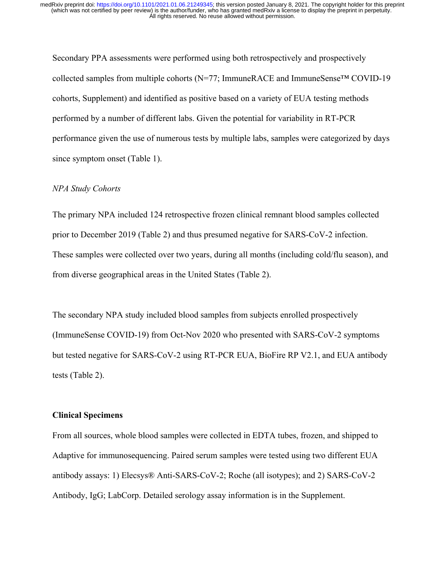Secondary PPA assessments were performed using both retrospectively and prospectively collected samples from multiple cohorts (N=77; ImmuneRACE and ImmuneSense™ COVID-19 cohorts, Supplement) and identified as positive based on a variety of EUA testing methods performed by a number of different labs. Given the potential for variability in RT-PCR performance given the use of numerous tests by multiple labs, samples were categorized by days since symptom onset (Table 1).

# *NPA Study Cohorts*

The primary NPA included 124 retrospective frozen clinical remnant blood samples collected prior to December 2019 (Table 2) and thus presumed negative for SARS-CoV-2 infection. These samples were collected over two years, during all months (including cold/flu season), and from diverse geographical areas in the United States (Table 2).

The secondary NPA study included blood samples from subjects enrolled prospectively (ImmuneSense COVID-19) from Oct-Nov 2020 who presented with SARS-CoV-2 symptoms but tested negative for SARS-CoV-2 using RT-PCR EUA, BioFire RP V2.1, and EUA antibody tests (Table 2).

# **Clinical Specimens**

From all sources, whole blood samples were collected in EDTA tubes, frozen, and shipped to Adaptive for immunosequencing. Paired serum samples were tested using two different EUA antibody assays: 1) Elecsys® Anti-SARS-CoV-2; Roche (all isotypes); and 2) SARS-CoV-2 Antibody, IgG; LabCorp. Detailed serology assay information is in the Supplement.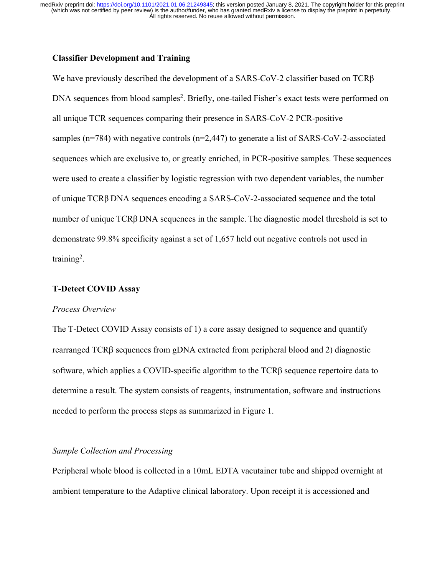# **Classifier Development and Training**

We have previously described the development of a SARS-CoV-2 classifier based on  $TCR\beta$ DNA sequences from blood samples<sup>2</sup>. Briefly, one-tailed Fisher's exact tests were performed on all unique TCR sequences comparing their presence in SARS-CoV-2 PCR-positive samples ( $n=784$ ) with negative controls ( $n=2,447$ ) to generate a list of SARS-CoV-2-associated sequences which are exclusive to, or greatly enriched, in PCR-positive samples. These sequences were used to create a classifier by logistic regression with two dependent variables, the number of unique TCRβ DNA sequences encoding a SARS-CoV-2-associated sequence and the total number of unique  $TCR\beta$  DNA sequences in the sample. The diagnostic model threshold is set to demonstrate 99.8% specificity against a set of 1,657 held out negative controls not used in training<sup>2</sup>.

## **T-Detect COVID Assay**

### *Process Overview*

The T-Detect COVID Assay consists of 1) a core assay designed to sequence and quantify rearranged  $TCR\beta$  sequences from gDNA extracted from peripheral blood and 2) diagnostic software, which applies a COVID-specific algorithm to the TCRβ sequence repertoire data to determine a result. The system consists of reagents, instrumentation, software and instructions needed to perform the process steps as summarized in Figure 1.

### *Sample Collection and Processing*

Peripheral whole blood is collected in a 10mL EDTA vacutainer tube and shipped overnight at ambient temperature to the Adaptive clinical laboratory. Upon receipt it is accessioned and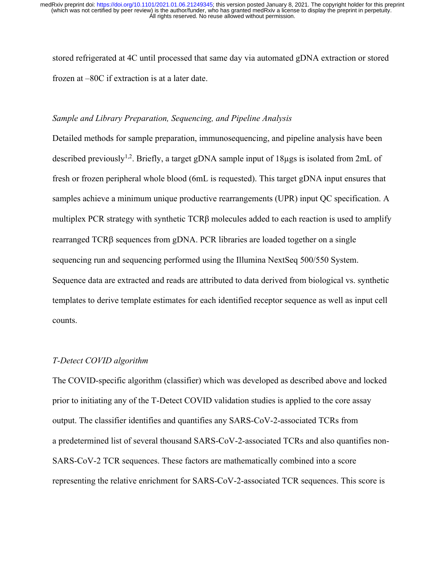stored refrigerated at 4C until processed that same day via automated gDNA extraction or stored frozen at –80C if extraction is at a later date.

# *Sample and Library Preparation, Sequencing, and Pipeline Analysis*

Detailed methods for sample preparation, immunosequencing, and pipeline analysis have been described previously<sup>1,2</sup>. Briefly, a target gDNA sample input of 18 $\mu$ gs is isolated from 2mL of fresh or frozen peripheral whole blood (6mL is requested). This target gDNA input ensures that samples achieve a minimum unique productive rearrangements (UPR) input QC specification. A multiplex PCR strategy with synthetic  $TCR\beta$  molecules added to each reaction is used to amplify rearranged  $TCR\beta$  sequences from gDNA. PCR libraries are loaded together on a single sequencing run and sequencing performed using the Illumina NextSeq 500/550 System. Sequence data are extracted and reads are attributed to data derived from biological vs. synthetic templates to derive template estimates for each identified receptor sequence as well as input cell counts.

## *T-Detect COVID algorithm*

The COVID-specific algorithm (classifier) which was developed as described above and locked prior to initiating any of the T-Detect COVID validation studies is applied to the core assay output. The classifier identifies and quantifies any SARS-CoV-2-associated TCRs from a predetermined list of several thousand SARS-CoV-2-associated TCRs and also quantifies non-SARS-CoV-2 TCR sequences. These factors are mathematically combined into a score representing the relative enrichment for SARS-CoV-2-associated TCR sequences. This score is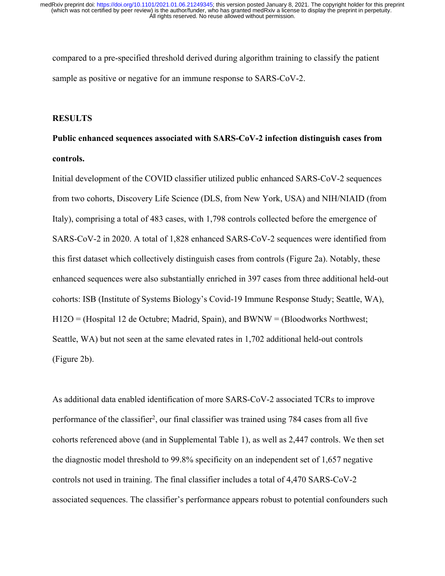compared to a pre-specified threshold derived during algorithm training to classify the patient sample as positive or negative for an immune response to SARS-CoV-2.

### **RESULTS**

# **Public enhanced sequences associated with SARS-CoV-2 infection distinguish cases from controls.**

Initial development of the COVID classifier utilized public enhanced SARS-CoV-2 sequences from two cohorts, Discovery Life Science (DLS, from New York, USA) and NIH/NIAID (from Italy), comprising a total of 483 cases, with 1,798 controls collected before the emergence of SARS-CoV-2 in 2020. A total of 1,828 enhanced SARS-CoV-2 sequences were identified from this first dataset which collectively distinguish cases from controls (Figure 2a). Notably, these enhanced sequences were also substantially enriched in 397 cases from three additional held-out cohorts: ISB (Institute of Systems Biology's Covid-19 Immune Response Study; Seattle, WA), H12O = (Hospital 12 de Octubre; Madrid, Spain), and BWNW = (Bloodworks Northwest; Seattle, WA) but not seen at the same elevated rates in 1,702 additional held-out controls (Figure 2b).

As additional data enabled identification of more SARS-CoV-2 associated TCRs to improve performance of the classifier<sup>2</sup>, our final classifier was trained using 784 cases from all five cohorts referenced above (and in Supplemental Table 1), as well as 2,447 controls. We then set the diagnostic model threshold to 99.8% specificity on an independent set of 1,657 negative controls not used in training. The final classifier includes a total of 4,470 SARS-CoV-2 associated sequences. The classifier's performance appears robust to potential confounders such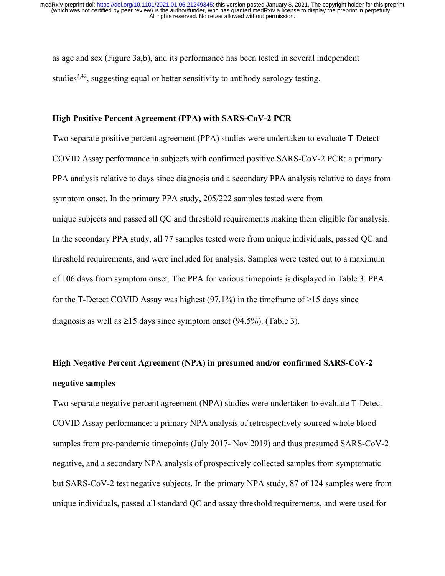as age and sex (Figure 3a,b), and its performance has been tested in several independent studies<sup>2,42</sup>, suggesting equal or better sensitivity to antibody serology testing.

### **High Positive Percent Agreement (PPA) with SARS-CoV-2 PCR**

Two separate positive percent agreement (PPA) studies were undertaken to evaluate T-Detect COVID Assay performance in subjects with confirmed positive SARS-CoV-2 PCR: a primary PPA analysis relative to days since diagnosis and a secondary PPA analysis relative to days from symptom onset. In the primary PPA study, 205/222 samples tested were from unique subjects and passed all QC and threshold requirements making them eligible for analysis. In the secondary PPA study, all 77 samples tested were from unique individuals, passed QC and threshold requirements, and were included for analysis. Samples were tested out to a maximum of 106 days from symptom onset. The PPA for various timepoints is displayed in Table 3. PPA for the T-Detect COVID Assay was highest (97.1%) in the timeframe of  $\geq$ 15 days since diagnosis as well as  $\geq$ 15 days since symptom onset (94.5%). (Table 3).

# **High Negative Percent Agreement (NPA) in presumed and/or confirmed SARS-CoV-2 negative samples**

Two separate negative percent agreement (NPA) studies were undertaken to evaluate T-Detect COVID Assay performance: a primary NPA analysis of retrospectively sourced whole blood samples from pre-pandemic timepoints (July 2017- Nov 2019) and thus presumed SARS-CoV-2 negative, and a secondary NPA analysis of prospectively collected samples from symptomatic but SARS-CoV-2 test negative subjects. In the primary NPA study, 87 of 124 samples were from unique individuals, passed all standard QC and assay threshold requirements, and were used for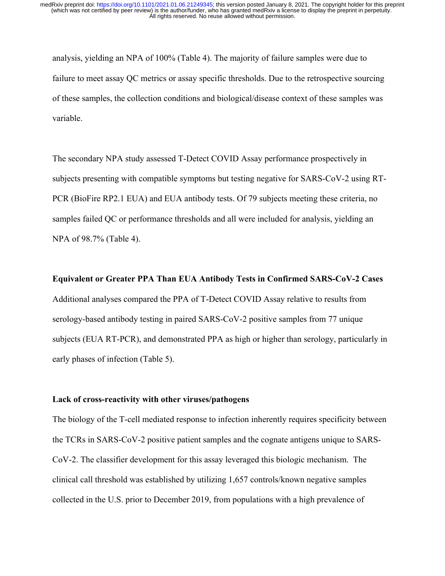analysis, yielding an NPA of 100% (Table 4). The majority of failure samples were due to failure to meet assay QC metrics or assay specific thresholds. Due to the retrospective sourcing of these samples, the collection conditions and biological/disease context of these samples was variable.

The secondary NPA study assessed T-Detect COVID Assay performance prospectively in subjects presenting with compatible symptoms but testing negative for SARS-CoV-2 using RT-PCR (BioFire RP2.1 EUA) and EUA antibody tests. Of 79 subjects meeting these criteria, no samples failed QC or performance thresholds and all were included for analysis, yielding an NPA of 98.7% (Table 4).

### **Equivalent or Greater PPA Than EUA Antibody Tests in Confirmed SARS-CoV-2 Cases**

Additional analyses compared the PPA of T-Detect COVID Assay relative to results from serology-based antibody testing in paired SARS-CoV-2 positive samples from 77 unique subjects (EUA RT-PCR), and demonstrated PPA as high or higher than serology, particularly in early phases of infection (Table 5).

### **Lack of cross-reactivity with other viruses/pathogens**

The biology of the T-cell mediated response to infection inherently requires specificity between the TCRs in SARS-CoV-2 positive patient samples and the cognate antigens unique to SARS-CoV-2. The classifier development for this assay leveraged this biologic mechanism. The clinical call threshold was established by utilizing 1,657 controls/known negative samples collected in the U.S. prior to December 2019, from populations with a high prevalence of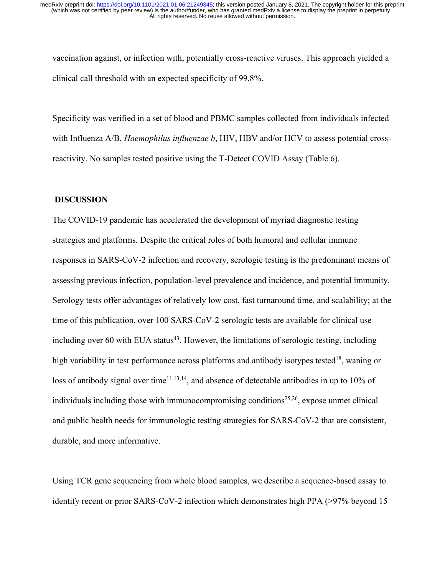vaccination against, or infection with, potentially cross-reactive viruses. This approach yielded a clinical call threshold with an expected specificity of 99.8%.

Specificity was verified in a set of blood and PBMC samples collected from individuals infected with Influenza A/B, *Haemophilus influenzae b*, HIV, HBV and/or HCV to assess potential crossreactivity. No samples tested positive using the T-Detect COVID Assay (Table 6).

# **DISCUSSION**

The COVID-19 pandemic has accelerated the development of myriad diagnostic testing strategies and platforms. Despite the critical roles of both humoral and cellular immune responses in SARS-CoV-2 infection and recovery, serologic testing is the predominant means of assessing previous infection, population-level prevalence and incidence, and potential immunity. Serology tests offer advantages of relatively low cost, fast turnaround time, and scalability; at the time of this publication, over 100 SARS-CoV-2 serologic tests are available for clinical use including over 60 with EUA status<sup>43</sup>. However, the limitations of serologic testing, including high variability in test performance across platforms and antibody isotypes tested<sup>18</sup>, waning or loss of antibody signal over time<sup>11,13,14</sup>, and absence of detectable antibodies in up to 10% of individuals including those with immunocompromising conditions<sup>25,26</sup>, expose unmet clinical and public health needs for immunologic testing strategies for SARS-CoV-2 that are consistent, durable, and more informative.

Using TCR gene sequencing from whole blood samples, we describe a sequence-based assay to identify recent or prior SARS-CoV-2 infection which demonstrates high PPA (>97% beyond 15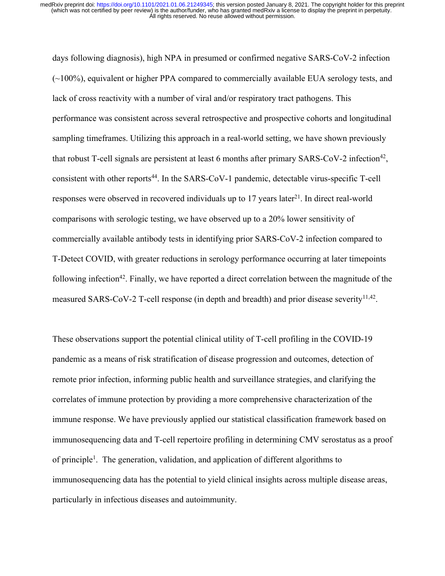days following diagnosis), high NPA in presumed or confirmed negative SARS-CoV-2 infection (~100%), equivalent or higher PPA compared to commercially available EUA serology tests, and lack of cross reactivity with a number of viral and/or respiratory tract pathogens. This performance was consistent across several retrospective and prospective cohorts and longitudinal sampling timeframes. Utilizing this approach in a real-world setting, we have shown previously that robust T-cell signals are persistent at least 6 months after primary SARS-CoV-2 infection<sup>42</sup>, consistent with other reports<sup>44</sup>. In the SARS-CoV-1 pandemic, detectable virus-specific T-cell responses were observed in recovered individuals up to 17 years later<sup>21</sup>. In direct real-world comparisons with serologic testing, we have observed up to a 20% lower sensitivity of commercially available antibody tests in identifying prior SARS-CoV-2 infection compared to T-Detect COVID, with greater reductions in serology performance occurring at later timepoints following infection<sup>42</sup>. Finally, we have reported a direct correlation between the magnitude of the measured SARS-CoV-2 T-cell response (in depth and breadth) and prior disease severity<sup>11,42</sup>.

These observations support the potential clinical utility of T-cell profiling in the COVID-19 pandemic as a means of risk stratification of disease progression and outcomes, detection of remote prior infection, informing public health and surveillance strategies, and clarifying the correlates of immune protection by providing a more comprehensive characterization of the immune response. We have previously applied our statistical classification framework based on immunosequencing data and T-cell repertoire profiling in determining CMV serostatus as a proof of principle<sup>1</sup>. The generation, validation, and application of different algorithms to immunosequencing data has the potential to yield clinical insights across multiple disease areas, particularly in infectious diseases and autoimmunity.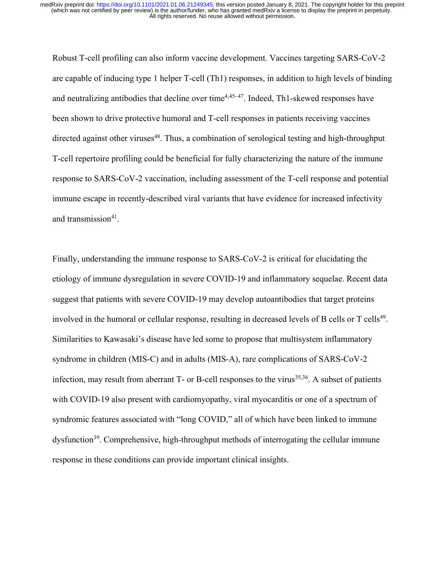Robust T-cell profiling can also inform vaccine development. Vaccines targeting SARS-CoV-2 are capable of inducing type 1 helper T-cell (Th1) responses, in addition to high levels of binding and neutralizing antibodies that decline over time<sup> $4,45-47$ </sup>. Indeed, Th1-skewed responses have been shown to drive protective humoral and T-cell responses in patients receiving vaccines directed against other viruses<sup>48</sup>. Thus, a combination of serological testing and high-throughput T-cell repertoire profiling could be beneficial for fully characterizing the nature of the immune response to SARS-CoV-2 vaccination, including assessment of the T-cell response and potential immune escape in recently-described viral variants that have evidence for increased infectivity and transmission<sup>41</sup>.

Finally, understanding the immune response to SARS-CoV-2 is critical for elucidating the etiology of immune dysregulation in severe COVID-19 and inflammatory sequelae. Recent data suggest that patients with severe COVID-19 may develop autoantibodies that target proteins involved in the humoral or cellular response, resulting in decreased levels of B cells or  $T$  cells<sup>49</sup>. Similarities to Kawasaki's disease have led some to propose that multisystem inflammatory syndrome in children (MIS-C) and in adults (MIS-A), rare complications of SARS-CoV-2 infection, may result from aberrant  $T$ - or B-cell responses to the virus<sup>35,36</sup>. A subset of patients with COVID-19 also present with cardiomyopathy, viral myocarditis or one of a spectrum of syndromic features associated with "long COVID," all of which have been linked to immune dysfunction<sup>39</sup>. Comprehensive, high-throughput methods of interrogating the cellular immune response in these conditions can provide important clinical insights.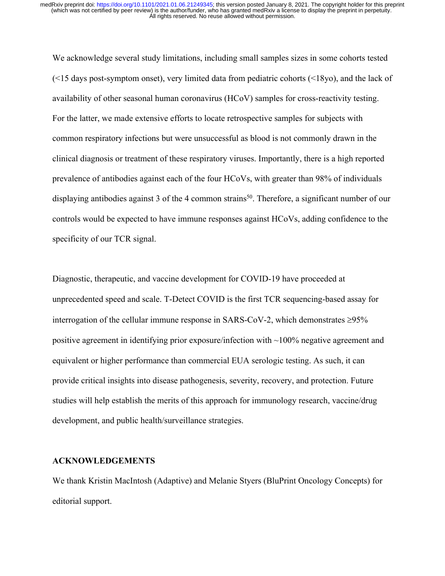We acknowledge several study limitations, including small samples sizes in some cohorts tested (<15 days post-symptom onset), very limited data from pediatric cohorts (<18yo), and the lack of availability of other seasonal human coronavirus (HCoV) samples for cross-reactivity testing. For the latter, we made extensive efforts to locate retrospective samples for subjects with common respiratory infections but were unsuccessful as blood is not commonly drawn in the clinical diagnosis or treatment of these respiratory viruses. Importantly, there is a high reported prevalence of antibodies against each of the four HCoVs, with greater than 98% of individuals displaying antibodies against 3 of the 4 common strains<sup>50</sup>. Therefore, a significant number of our controls would be expected to have immune responses against HCoVs, adding confidence to the specificity of our TCR signal.

Diagnostic, therapeutic, and vaccine development for COVID-19 have proceeded at unprecedented speed and scale. T-Detect COVID is the first TCR sequencing-based assay for interrogation of the cellular immune response in SARS-CoV-2, which demonstrates  $\geq 95\%$ positive agreement in identifying prior exposure/infection with ~100% negative agreement and equivalent or higher performance than commercial EUA serologic testing. As such, it can provide critical insights into disease pathogenesis, severity, recovery, and protection. Future studies will help establish the merits of this approach for immunology research, vaccine/drug development, and public health/surveillance strategies.

### **ACKNOWLEDGEMENTS**

We thank Kristin MacIntosh (Adaptive) and Melanie Styers (BluPrint Oncology Concepts) for editorial support.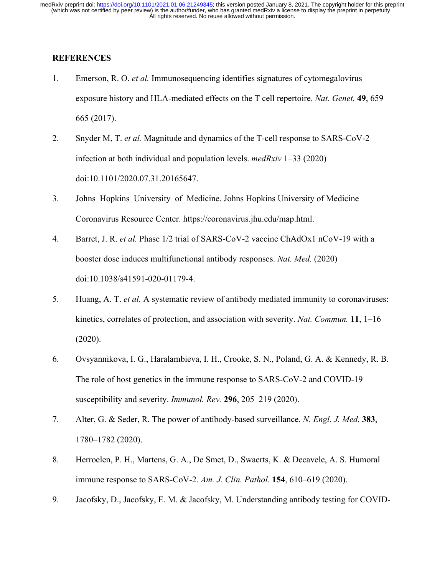# **REFERENCES**

- 1. Emerson, R. O. *et al.* Immunosequencing identifies signatures of cytomegalovirus exposure history and HLA-mediated effects on the T cell repertoire. *Nat. Genet.* **49**, 659– 665 (2017).
- 2. Snyder M, T. *et al.* Magnitude and dynamics of the T-cell response to SARS-CoV-2 infection at both individual and population levels. *medRxiv* 1–33 (2020) doi:10.1101/2020.07.31.20165647.
- 3. Johns Hopkins University of Medicine. Johns Hopkins University of Medicine Coronavirus Resource Center. https://coronavirus.jhu.edu/map.html.
- 4. Barret, J. R. *et al.* Phase 1/2 trial of SARS-CoV-2 vaccine ChAdOx1 nCoV-19 with a booster dose induces multifunctional antibody responses. *Nat. Med.* (2020) doi:10.1038/s41591-020-01179-4.
- 5. Huang, A. T. *et al.* A systematic review of antibody mediated immunity to coronaviruses: kinetics, correlates of protection, and association with severity. *Nat. Commun.* **11**, 1–16 (2020).
- 6. Ovsyannikova, I. G., Haralambieva, I. H., Crooke, S. N., Poland, G. A. & Kennedy, R. B. The role of host genetics in the immune response to SARS-CoV-2 and COVID-19 susceptibility and severity. *Immunol. Rev.* **296**, 205–219 (2020).
- 7. Alter, G. & Seder, R. The power of antibody-based surveillance. *N. Engl. J. Med.* **383**, 1780–1782 (2020).
- 8. Herroelen, P. H., Martens, G. A., De Smet, D., Swaerts, K. & Decavele, A. S. Humoral immune response to SARS-CoV-2. *Am. J. Clin. Pathol.* **154**, 610–619 (2020).
- 9. Jacofsky, D., Jacofsky, E. M. & Jacofsky, M. Understanding antibody testing for COVID-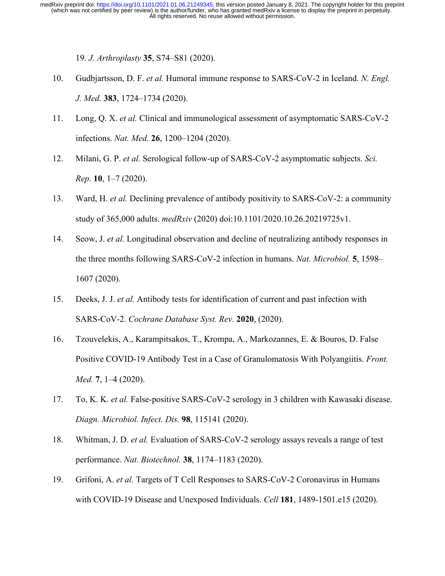19. *J. Arthroplasty* **35**, S74–S81 (2020).

- 10. Gudbjartsson, D. F. *et al.* Humoral immune response to SARS-CoV-2 in Iceland. *N. Engl. J. Med.* **383**, 1724–1734 (2020).
- 11. Long, Q. X. *et al.* Clinical and immunological assessment of asymptomatic SARS-CoV-2 infections. *Nat. Med.* **26**, 1200–1204 (2020).
- 12. Milani, G. P. *et al.* Serological follow-up of SARS-CoV-2 asymptomatic subjects. *Sci. Rep.* **10**, 1–7 (2020).
- 13. Ward, H. *et al.* Declining prevalence of antibody positivity to SARS-CoV-2: a community study of 365,000 adults. *medRxiv* (2020) doi:10.1101/2020.10.26.20219725v1.
- 14. Seow, J. *et al.* Longitudinal observation and decline of neutralizing antibody responses in the three months following SARS-CoV-2 infection in humans. *Nat. Microbiol.* **5**, 1598– 1607 (2020).
- 15. Deeks, J. J. *et al.* Antibody tests for identification of current and past infection with SARS-CoV-2. *Cochrane Database Syst. Rev.* **2020**, (2020).
- 16. Tzouvelekis, A., Karampitsakos, T., Krompa, A., Markozannes, E. & Bouros, D. False Positive COVID-19 Antibody Test in a Case of Granulomatosis With Polyangiitis. *Front. Med.* **7**, 1–4 (2020).
- 17. To, K. K. *et al.* False-positive SARS-CoV-2 serology in 3 children with Kawasaki disease. *Diagn. Microbiol. Infect. Dis.* **98**, 115141 (2020).
- 18. Whitman, J. D. *et al.* Evaluation of SARS-CoV-2 serology assays reveals a range of test performance. *Nat. Biotechnol.* **38**, 1174–1183 (2020).
- 19. Grifoni, A. *et al.* Targets of T Cell Responses to SARS-CoV-2 Coronavirus in Humans with COVID-19 Disease and Unexposed Individuals. *Cell* **181**, 1489-1501.e15 (2020).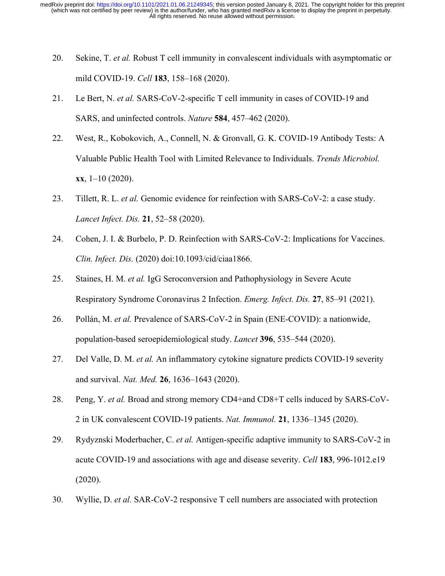- 20. Sekine, T. *et al.* Robust T cell immunity in convalescent individuals with asymptomatic or mild COVID-19. *Cell* **183**, 158–168 (2020).
- 21. Le Bert, N. *et al.* SARS-CoV-2-specific T cell immunity in cases of COVID-19 and SARS, and uninfected controls. *Nature* **584**, 457–462 (2020).
- 22. West, R., Kobokovich, A., Connell, N. & Gronvall, G. K. COVID-19 Antibody Tests: A Valuable Public Health Tool with Limited Relevance to Individuals. *Trends Microbiol.* **xx**, 1–10 (2020).
- 23. Tillett, R. L. *et al.* Genomic evidence for reinfection with SARS-CoV-2: a case study. *Lancet Infect. Dis.* **21**, 52–58 (2020).
- 24. Cohen, J. I. & Burbelo, P. D. Reinfection with SARS-CoV-2: Implications for Vaccines. *Clin. Infect. Dis.* (2020) doi:10.1093/cid/ciaa1866.
- 25. Staines, H. M. *et al.* IgG Seroconversion and Pathophysiology in Severe Acute Respiratory Syndrome Coronavirus 2 Infection. *Emerg. Infect. Dis.* **27**, 85–91 (2021).
- 26. Pollán, M. *et al.* Prevalence of SARS-CoV-2 in Spain (ENE-COVID): a nationwide, population-based seroepidemiological study. *Lancet* **396**, 535–544 (2020).
- 27. Del Valle, D. M. *et al.* An inflammatory cytokine signature predicts COVID-19 severity and survival. *Nat. Med.* **26**, 1636–1643 (2020).
- 28. Peng, Y. *et al.* Broad and strong memory CD4+and CD8+T cells induced by SARS-CoV-2 in UK convalescent COVID-19 patients. *Nat. Immunol.* **21**, 1336–1345 (2020).
- 29. Rydyznski Moderbacher, C. *et al.* Antigen-specific adaptive immunity to SARS-CoV-2 in acute COVID-19 and associations with age and disease severity. *Cell* **183**, 996-1012.e19 (2020).
- 30. Wyllie, D. *et al.* SAR-CoV-2 responsive T cell numbers are associated with protection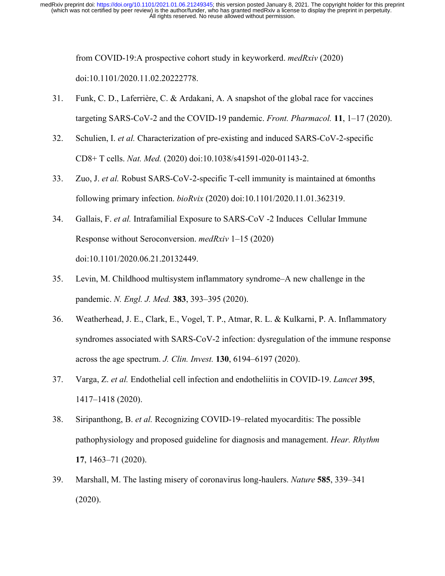from COVID-19:A prospective cohort study in keyworkerd. *medRxiv* (2020) doi:10.1101/2020.11.02.20222778.

- 31. Funk, C. D., Laferrière, C. & Ardakani, A. A snapshot of the global race for vaccines targeting SARS-CoV-2 and the COVID-19 pandemic. *Front. Pharmacol.* **11**, 1–17 (2020).
- 32. Schulien, I. *et al.* Characterization of pre-existing and induced SARS-CoV-2-specific CD8+ T cells. *Nat. Med.* (2020) doi:10.1038/s41591-020-01143-2.
- 33. Zuo, J. *et al.* Robust SARS-CoV-2-specific T-cell immunity is maintained at 6months following primary infection. *bioRvix* (2020) doi:10.1101/2020.11.01.362319.
- 34. Gallais, F. *et al.* Intrafamilial Exposure to SARS-CoV -2 Induces Cellular Immune Response without Seroconversion. *medRxiv* 1–15 (2020) doi:10.1101/2020.06.21.20132449.
- 35. Levin, M. Childhood multisystem inflammatory syndrome–A new challenge in the pandemic. *N. Engl. J. Med.* **383**, 393–395 (2020).
- 36. Weatherhead, J. E., Clark, E., Vogel, T. P., Atmar, R. L. & Kulkarni, P. A. Inflammatory syndromes associated with SARS-CoV-2 infection: dysregulation of the immune response across the age spectrum. *J. Clin. Invest.* **130**, 6194–6197 (2020).
- 37. Varga, Z. *et al.* Endothelial cell infection and endotheliitis in COVID-19. *Lancet* **395**, 1417–1418 (2020).
- 38. Siripanthong, B. *et al.* Recognizing COVID-19–related myocarditis: The possible pathophysiology and proposed guideline for diagnosis and management. *Hear. Rhythm* **17**, 1463–71 (2020).
- 39. Marshall, M. The lasting misery of coronavirus long-haulers. *Nature* **585**, 339–341 (2020).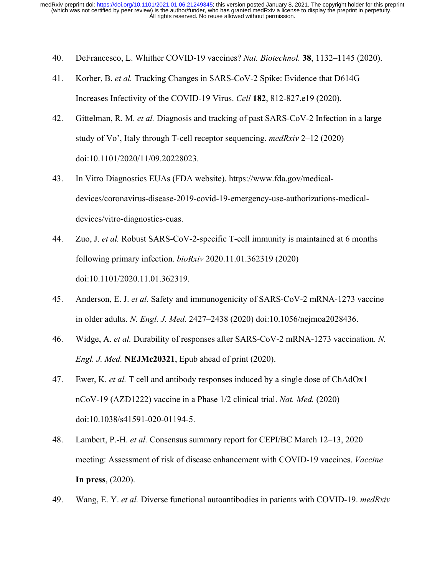- 40. DeFrancesco, L. Whither COVID-19 vaccines? *Nat. Biotechnol.* **38**, 1132–1145 (2020).
- 41. Korber, B. *et al.* Tracking Changes in SARS-CoV-2 Spike: Evidence that D614G Increases Infectivity of the COVID-19 Virus. *Cell* **182**, 812-827.e19 (2020).
- 42. Gittelman, R. M. *et al.* Diagnosis and tracking of past SARS-CoV-2 Infection in a large study of Vo', Italy through T-cell receptor sequencing. *medRxiv* 2–12 (2020) doi:10.1101/2020/11/09.20228023.
- 43. In Vitro Diagnostics EUAs (FDA website). https://www.fda.gov/medicaldevices/coronavirus-disease-2019-covid-19-emergency-use-authorizations-medicaldevices/vitro-diagnostics-euas.
- 44. Zuo, J. *et al.* Robust SARS-CoV-2-specific T-cell immunity is maintained at 6 months following primary infection. *bioRxiv* 2020.11.01.362319 (2020) doi:10.1101/2020.11.01.362319.
- 45. Anderson, E. J. *et al.* Safety and immunogenicity of SARS-CoV-2 mRNA-1273 vaccine in older adults. *N. Engl. J. Med.* 2427–2438 (2020) doi:10.1056/nejmoa2028436.
- 46. Widge, A. *et al.* Durability of responses after SARS-CoV-2 mRNA-1273 vaccination. *N. Engl. J. Med.* **NEJMc20321**, Epub ahead of print (2020).
- 47. Ewer, K. *et al.* T cell and antibody responses induced by a single dose of ChAdOx1 nCoV-19 (AZD1222) vaccine in a Phase 1/2 clinical trial. *Nat. Med.* (2020) doi:10.1038/s41591-020-01194-5.
- 48. Lambert, P.-H. *et al.* Consensus summary report for CEPI/BC March 12–13, 2020 meeting: Assessment of risk of disease enhancement with COVID-19 vaccines. *Vaccine* **In press**, (2020).
- 49. Wang, E. Y. *et al.* Diverse functional autoantibodies in patients with COVID-19. *medRxiv*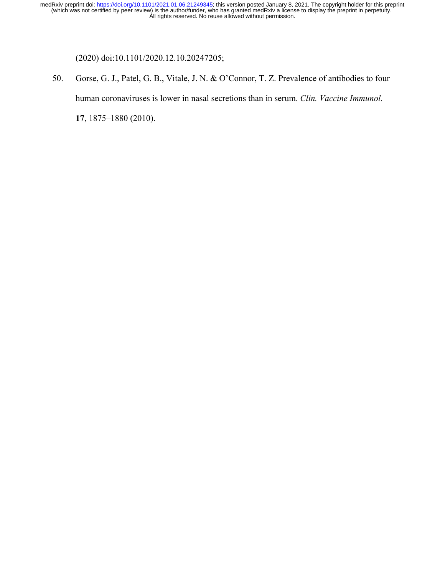(2020) doi:10.1101/2020.12.10.20247205;

50. Gorse, G. J., Patel, G. B., Vitale, J. N. & O'Connor, T. Z. Prevalence of antibodies to four human coronaviruses is lower in nasal secretions than in serum. *Clin. Vaccine Immunol.* **17**, 1875–1880 (2010).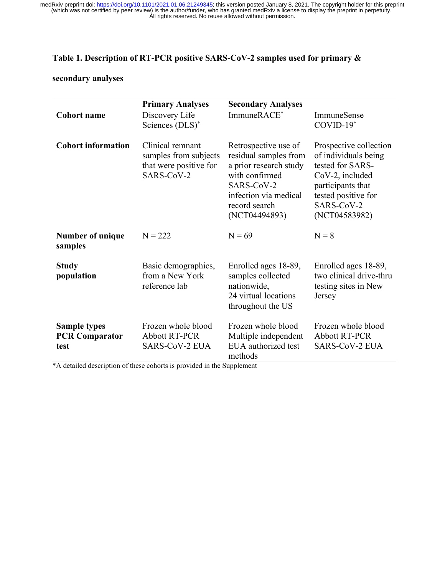# **Table 1. Description of RT-PCR positive SARS-CoV-2 samples used for primary &**

# **secondary analyses**

|                                                      | <b>Primary Analyses</b>                                                           | <b>Secondary Analyses</b>                                                                                                                                          |                                                                                                                                                                  |
|------------------------------------------------------|-----------------------------------------------------------------------------------|--------------------------------------------------------------------------------------------------------------------------------------------------------------------|------------------------------------------------------------------------------------------------------------------------------------------------------------------|
| <b>Cohort</b> name                                   | Discovery Life<br>Sciences (DLS)*                                                 | ImmuneRACE*                                                                                                                                                        | ImmuneSense<br>$COVID-19*$                                                                                                                                       |
| <b>Cohort information</b>                            | Clinical remnant<br>samples from subjects<br>that were positive for<br>SARS-CoV-2 | Retrospective use of<br>residual samples from<br>a prior research study<br>with confirmed<br>SARS-CoV-2<br>infection via medical<br>record search<br>(NCT04494893) | Prospective collection<br>of individuals being<br>tested for SARS-<br>CoV-2, included<br>participants that<br>tested positive for<br>SARS-CoV-2<br>(NCT04583982) |
| Number of unique<br>samples                          | $N = 222$                                                                         | $N = 69$                                                                                                                                                           | $N = 8$                                                                                                                                                          |
| <b>Study</b><br>population                           | Basic demographics,<br>from a New York<br>reference lab                           | Enrolled ages 18-89,<br>samples collected<br>nationwide,<br>24 virtual locations<br>throughout the US                                                              | Enrolled ages 18-89,<br>two clinical drive-thru<br>testing sites in New<br>Jersey                                                                                |
| <b>Sample types</b><br><b>PCR Comparator</b><br>test | Frozen whole blood<br><b>Abbott RT-PCR</b><br><b>SARS-CoV-2 EUA</b>               | Frozen whole blood<br>Multiple independent<br>EUA authorized test<br>methods                                                                                       | Frozen whole blood<br><b>Abbott RT-PCR</b><br><b>SARS-CoV-2 EUA</b>                                                                                              |

\*A detailed description of these cohorts is provided in the Supplement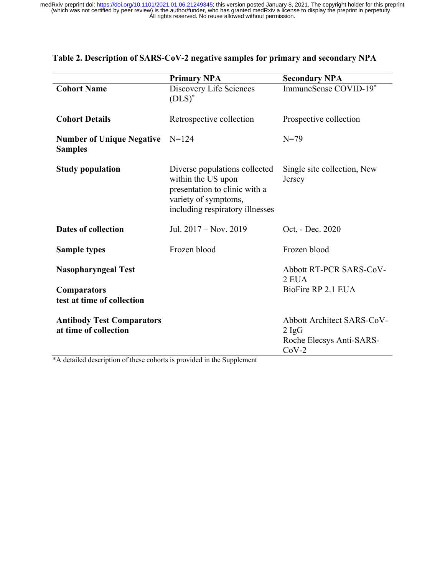|                                                           | <b>Primary NPA</b>                                                                                                                              | <b>Secondary NPA</b>                                                                 |
|-----------------------------------------------------------|-------------------------------------------------------------------------------------------------------------------------------------------------|--------------------------------------------------------------------------------------|
| <b>Cohort Name</b>                                        | Discovery Life Sciences<br>$(DLS)^*$                                                                                                            | ImmuneSense COVID-19*                                                                |
| <b>Cohort Details</b>                                     | Retrospective collection                                                                                                                        | Prospective collection                                                               |
| <b>Number of Unique Negative</b><br><b>Samples</b>        | $N = 124$                                                                                                                                       | $N = 79$                                                                             |
| <b>Study population</b>                                   | Diverse populations collected<br>within the US upon<br>presentation to clinic with a<br>variety of symptoms,<br>including respiratory illnesses | Single site collection, New<br>Jersey                                                |
| <b>Dates of collection</b>                                | Jul. 2017 – Nov. 2019                                                                                                                           | Oct. - Dec. 2020                                                                     |
| <b>Sample types</b>                                       | Frozen blood                                                                                                                                    | Frozen blood                                                                         |
| <b>Nasopharyngeal Test</b>                                |                                                                                                                                                 | Abbott RT-PCR SARS-CoV-<br>2 EUA                                                     |
| <b>Comparators</b><br>test at time of collection          |                                                                                                                                                 | BioFire RP 2.1 EUA                                                                   |
| <b>Antibody Test Comparators</b><br>at time of collection |                                                                                                                                                 | Abbott Architect SARS-CoV-<br>$2 \text{ IgG}$<br>Roche Elecsys Anti-SARS-<br>$CoV-2$ |

# **Table 2. Description of SARS-CoV-2 negative samples for primary and secondary NPA**

\*A detailed description of these cohorts is provided in the Supplement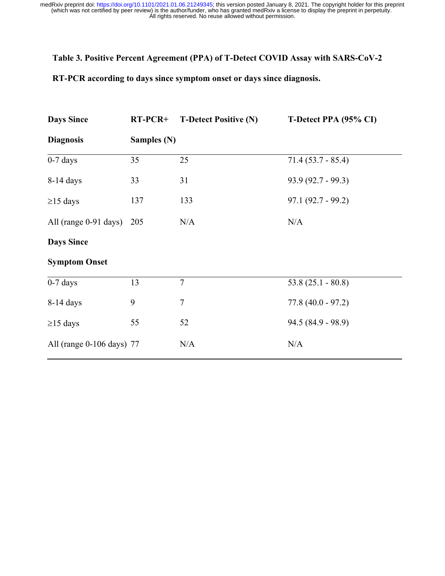# **Table 3. Positive Percent Agreement (PPA) of T-Detect COVID Assay with SARS-CoV-2**

**RT-PCR according to days since symptom onset or days since diagnosis.**

| <b>Days Since</b>         | $RT-PCR+$   | <b>T-Detect Positive (N)</b> | T-Detect PPA (95% CI) |
|---------------------------|-------------|------------------------------|-----------------------|
| <b>Diagnosis</b>          | Samples (N) |                              |                       |
| $0-7$ days                | 35          | 25                           | $71.4(53.7 - 85.4)$   |
| $8-14$ days               | 33          | 31                           | $93.9(92.7 - 99.3)$   |
| $\geq$ 15 days            | 137         | 133                          | $97.1(92.7 - 99.2)$   |
| All (range $0-91$ days)   | 205         | N/A                          | N/A                   |
| <b>Days Since</b>         |             |                              |                       |
| <b>Symptom Onset</b>      |             |                              |                       |
| $0-7$ days                | 13          | $\overline{7}$               | $53.8(25.1 - 80.8)$   |
| 8-14 days                 | 9           | $\overline{7}$               | $77.8(40.0 - 97.2)$   |
| $\geq$ 15 days            | 55          | 52                           | $94.5(84.9 - 98.9)$   |
| All (range 0-106 days) 77 |             | N/A                          | N/A                   |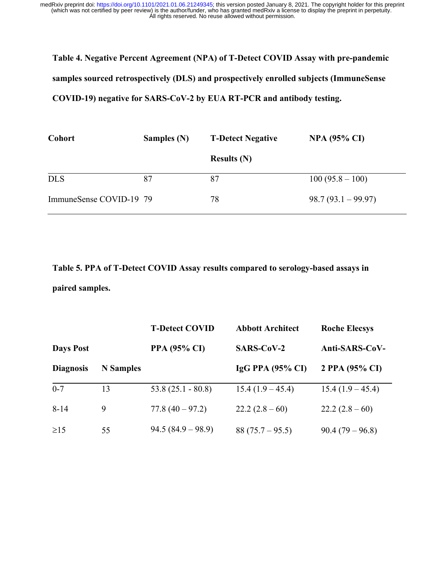**Table 4. Negative Percent Agreement (NPA) of T-Detect COVID Assay with pre-pandemic samples sourced retrospectively (DLS) and prospectively enrolled subjects (ImmuneSense COVID-19) negative for SARS-CoV-2 by EUA RT-PCR and antibody testing.**

| Cohort                  | Samples (N) | <b>T-Detect Negative</b> | <b>NPA (95% CI)</b> |
|-------------------------|-------------|--------------------------|---------------------|
|                         |             | Results $(N)$            |                     |
| <b>DLS</b>              | 87          | 87                       | $100(95.8-100)$     |
| ImmuneSense COVID-19 79 |             | 78                       | $98.7(93.1-99.97)$  |

**Table 5. PPA of T-Detect COVID Assay results compared to serology-based assays in paired samples.**

|                  |                  | <b>T-Detect COVID</b> | <b>Abbott Architect</b> | <b>Roche Elecsys</b> |
|------------------|------------------|-----------------------|-------------------------|----------------------|
| <b>Days Post</b> |                  | <b>PPA (95% CI)</b>   | <b>SARS-CoV-2</b>       | Anti-SARS-CoV-       |
| <b>Diagnosis</b> | <b>N</b> Samples |                       | $IgG$ PPA (95% CI)      | 2 PPA (95% CI)       |
| $0 - 7$          | 13               | $53.8(25.1 - 80.8)$   | $15.4(1.9-45.4)$        | $15.4(1.9-45.4)$     |
| $8 - 14$         | 9                | $77.8(40 - 97.2)$     | $22.2(2.8-60)$          | $22.2(2.8-60)$       |
| $\geq$ 15        | 55               | $94.5 (84.9 - 98.9)$  | $88(75.7-95.5)$         | $90.4(79-96.8)$      |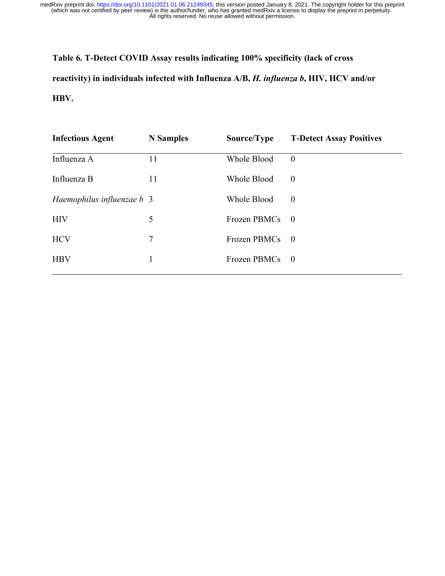**Table 6. T-Detect COVID Assay results indicating 100% specificity (lack of cross reactivity) in individuals infected with Influenza A/B,** *H. influenza b***, HIV, HCV and/or HBV.**

| <b>Infectious Agent</b>    | <b>N</b> Samples | Source/Type  | <b>T-Detect Assay Positives</b> |
|----------------------------|------------------|--------------|---------------------------------|
| Influenza A                | 11               | Whole Blood  | $\theta$                        |
| Influenza B                | 11               | Whole Blood  | $\theta$                        |
| Haemophilus influenzae b 3 |                  | Whole Blood  | $\theta$                        |
| <b>HIV</b>                 | 5                | Frozen PBMCs | $\overline{\phantom{0}}$        |
| <b>HCV</b>                 | $\tau$           | Frozen PBMCs | $\overline{\phantom{0}}$        |
| <b>HBV</b>                 | 1                | Frozen PBMCs | $\hspace{0.6cm}0$               |
|                            |                  |              |                                 |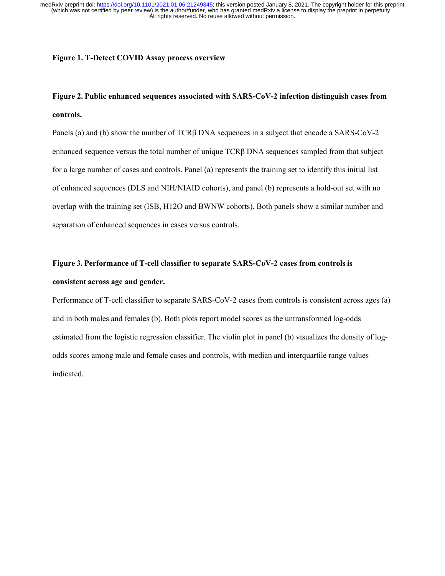### **Figure 1. T-Detect COVID Assay process overview**

# **Figure 2. Public enhanced sequences associated with SARS-CoV-2 infection distinguish cases from controls.**

Panels (a) and (b) show the number of TCRβ DNA sequences in a subject that encode a SARS-CoV-2 enhanced sequence versus the total number of unique TCRβ DNA sequences sampled from that subject for a large number of cases and controls. Panel (a) represents the training set to identify this initial list of enhanced sequences (DLS and NIH/NIAID cohorts), and panel (b) represents a hold-out set with no overlap with the training set (ISB, H12O and BWNW cohorts). Both panels show a similar number and separation of enhanced sequences in cases versus controls.

# **Figure 3. Performance of T-cell classifier to separate SARS-CoV-2 cases from controls is consistent across age and gender.**

Performance of T-cell classifier to separate SARS-CoV-2 cases from controls is consistent across ages (a) and in both males and females (b). Both plots report model scores as the untransformed log-odds estimated from the logistic regression classifier. The violin plot in panel (b) visualizes the density of logodds scores among male and female cases and controls, with median and interquartile range values indicated.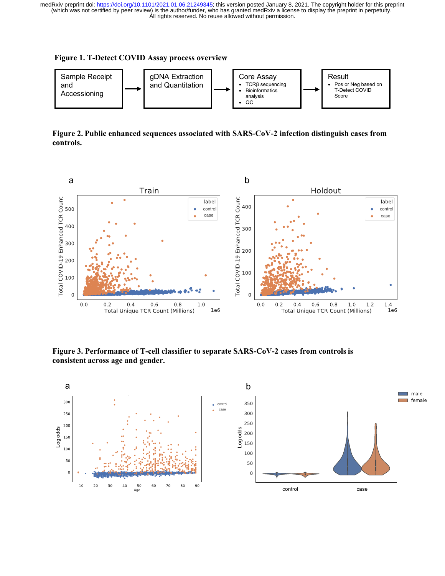#### **Figure 1. T-Detect COVID Assay process overview**

 $10\,$ 

 $20$ 

30

 $\frac{50}{\text{Age}}$ 

60 70

 $40$ 

 $\overline{80}$ 

90



**Figure 2. Public enhanced sequences associated with SARS-CoV-2 infection distinguish cases from controls.**



control case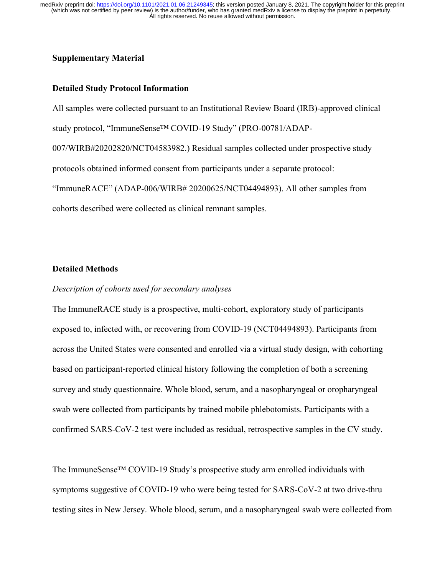# **Supplementary Material**

## **Detailed Study Protocol Information**

All samples were collected pursuant to an Institutional Review Board (IRB)-approved clinical study protocol, "ImmuneSense™ COVID-19 Study" (PRO-00781/ADAP-007/WIRB#20202820/NCT04583982.) Residual samples collected under prospective study protocols obtained informed consent from participants under a separate protocol: "ImmuneRACE" (ADAP-006/WIRB# 20200625/NCT04494893). All other samples from cohorts described were collected as clinical remnant samples.

## **Detailed Methods**

## *Description of cohorts used for secondary analyses*

The ImmuneRACE study is a prospective, multi-cohort, exploratory study of participants exposed to, infected with, or recovering from COVID-19 (NCT04494893). Participants from across the United States were consented and enrolled via a virtual study design, with cohorting based on participant-reported clinical history following the completion of both a screening survey and study questionnaire. Whole blood, serum, and a nasopharyngeal or oropharyngeal swab were collected from participants by trained mobile phlebotomists. Participants with a confirmed SARS-CoV-2 test were included as residual, retrospective samples in the CV study.

The ImmuneSense™ COVID-19 Study's prospective study arm enrolled individuals with symptoms suggestive of COVID-19 who were being tested for SARS-CoV-2 at two drive-thru testing sites in New Jersey. Whole blood, serum, and a nasopharyngeal swab were collected from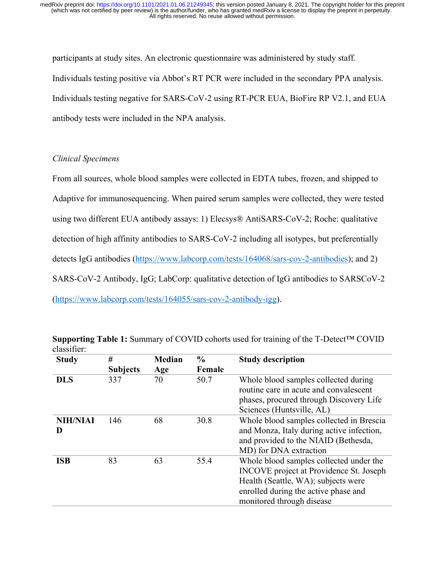participants at study sites. An electronic questionnaire was administered by study staff. Individuals testing positive via Abbot's RT PCR were included in the secondary PPA analysis. Individuals testing negative for SARS-CoV-2 using RT-PCR EUA, BioFire RP V2.1, and EUA antibody tests were included in the NPA analysis.

# *Clinical Specimens*

From all sources, whole blood samples were collected in EDTA tubes, frozen, and shipped to Adaptive for immunosequencing. When paired serum samples were collected, they were tested using two different EUA antibody assays: 1) Elecsys® AntiSARS-CoV-2; Roche: qualitative detection of high affinity antibodies to SARS-CoV-2 including all isotypes, but preferentially detects IgG antibodies (https://www.labcorp.com/tests/164068/sars-cov-2-antibodies); and 2) SARS-CoV-2 Antibody, IgG; LabCorp: qualitative detection of IgG antibodies to SARSCoV-2 (https://www.labcorp.com/tests/164055/sars-cov-2-antibody-igg).

| <b>Study</b>         | #<br><b>Subjects</b> | <b>Median</b><br>Age | $\frac{0}{0}$<br>Female | <b>Study description</b>                                                                                                                                                                              |
|----------------------|----------------------|----------------------|-------------------------|-------------------------------------------------------------------------------------------------------------------------------------------------------------------------------------------------------|
| <b>DLS</b>           | 337                  | 70                   | 50.7                    | Whole blood samples collected during<br>routine care in acute and convalescent<br>phases, procured through Discovery Life<br>Sciences (Huntsville, AL)                                                |
| <b>NIH/NIAI</b><br>D | 146                  | 68                   | 30.8                    | Whole blood samples collected in Brescia<br>and Monza, Italy during active infection,<br>and provided to the NIAID (Bethesda,<br>MD) for DNA extraction                                               |
| <b>ISB</b>           | 83                   | 63                   | 55.4                    | Whole blood samples collected under the<br><b>INCOVE</b> project at Providence St. Joseph<br>Health (Seattle, WA); subjects were<br>enrolled during the active phase and<br>monitored through disease |

**Supporting Table 1:** Summary of COVID cohorts used for training of the T-Detect™ COVID classifier: